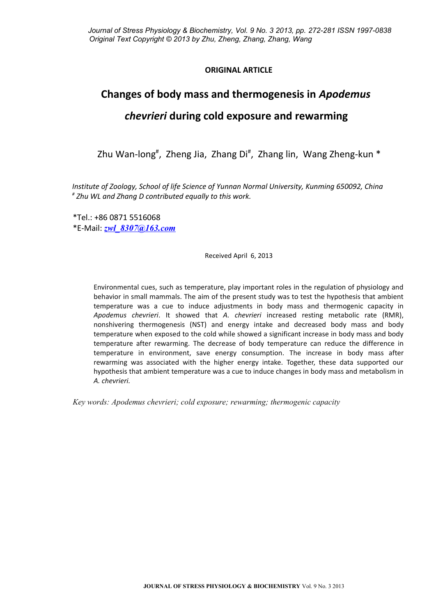# **ORIGINAL ARTICLE**

# **Changes of body mass and thermogenesis in** *Apodemus chevrieri* **during cold exposure and rewarming**

Zhu Wan-long<sup>#</sup>, Zheng Jia, Zhang Di<sup>#</sup>, Zhang lin, Wang Zheng-kun \*

*Institute of Zoology, School of life Science of Yunnan Normal University, Kunming 650092, China # Zhu WL and Zhang D contributed equally to this work.*

\*Tel.: +86 0871 5516068 \*E-Mail: *[zwl\\_8307@163.com](mailto:zwl_8307@163.com)*

Received April 6, 2013

Environmental cues, such as temperature, play important roles in the regulation of physiology and behavior in small mammals. The aim of the present study was to test the hypothesis that ambient temperature was a cue to induce adjustments in body mass and thermogenic capacity in *Apodemus chevrieri*. It showed that *A. chevrieri* increased resting metabolic rate (RMR), nonshivering thermogenesis (NST) and energy intake and decreased body mass and body temperature when exposed to the cold while showed a significant increase in body mass and body temperature after rewarming. The decrease of body temperature can reduce the difference in temperature in environment, save energy consumption. The increase in body mass after rewarming was associated with the higher energy intake. Together, these data supported our hypothesis that ambient temperature was a cue to induce changes in body mass and metabolism in *A. chevrieri.*

*Key words: Apodemus chevrieri; cold exposure; rewarming; thermogenic capacity*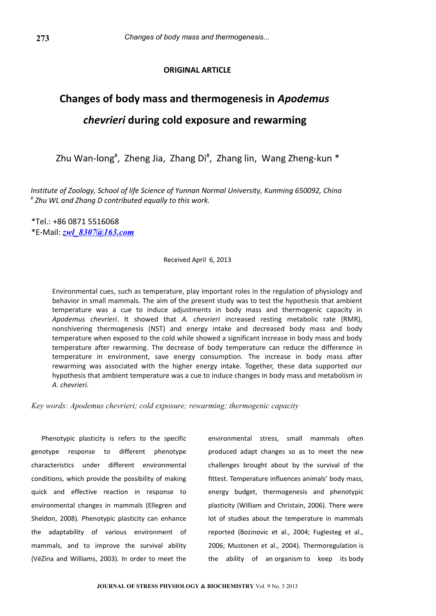# **ORIGINAL ARTICLE**

# **Changes of body mass and thermogenesis in** *Apodemus chevrieri* **during cold exposure and rewarming**

Zhu Wan-long<sup>#</sup>, Zheng Jia, Zhang Di<sup>#</sup>, Zhang lin, Wang Zheng-kun \*

*Institute of Zoology, School of life Science of Yunnan Normal University, Kunming 650092, China # Zhu WL and Zhang D contributed equally to this work.*

\*Tel.: +86 0871 5516068 \*E-Mail: *[zwl\\_8307@163.com](mailto:zwl_8307@163.com)*

Received April 6, 2013

Environmental cues, such as temperature, play important roles in the regulation of physiology and behavior in small mammals. The aim of the present study was to test the hypothesis that ambient temperature was a cue to induce adjustments in body mass and thermogenic capacity in *Apodemus chevrieri*. It showed that *A. chevrieri* increased resting metabolic rate (RMR), nonshivering thermogenesis (NST) and energy intake and decreased body mass and body temperature when exposed to the cold while showed a significant increase in body mass and body temperature after rewarming. The decrease of body temperature can reduce the difference in temperature in environment, save energy consumption. The increase in body mass after rewarming was associated with the higher energy intake. Together, these data supported our hypothesis that ambient temperature was a cue to induce changes in body mass and metabolism in *A. chevrieri.*

*Key words: Apodemus chevrieri; cold exposure; rewarming; thermogenic capacity*

Phenotypic plasticity is refers to the specific genotype response to different phenotype characteristics under different environmental conditions, which provide the possibility of making quick and effective reaction in response to environmental changes in mammals (Ellegren and Sheldon, 2008). Phenotypic plasticity can enhance the adaptability of various environment of mammals, and to improve the survival ability (VéZina and Williams, 2003). In order to meet the

environmental stress, small mammals often produced adapt changes so as to meet the new challenges brought about by the survival of the fittest. Temperature influences animals' body mass, energy budget, thermogenesis and phenotypic plasticity (William and Christain, 2006). There were lot of studies about the temperature in mammals reported (Bozinovic et al., 2004; Fuglesteg et al., 2006; Mustonen et al., 2004). Thermoregulation is the ability of an organism to keep its body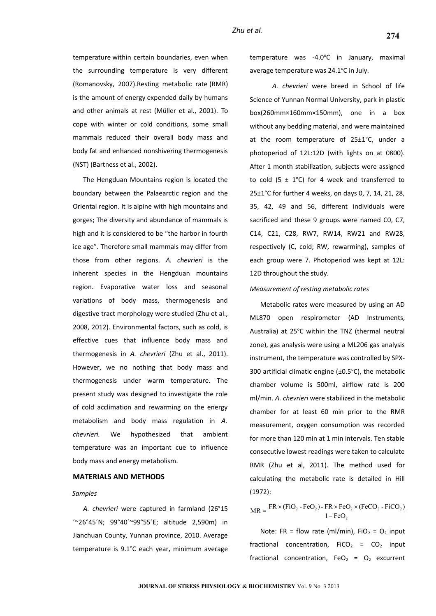#### *Zhu et al.*

temperature within certain boundaries, even when the surrounding temperature is very different (Romanovsky, 2007).Resting metabolic rate (RMR) is the amount of energy expended daily by humans and other animals at rest (Müller et al., 2001). To cope with winter or cold conditions, some small mammals reduced their overall body mass and body fat and enhanced nonshivering thermogenesis (NST) (Bartness et al., 2002).

The Hengduan Mountains region is located the boundary between the Palaearctic region and the Oriental region. It is alpine with high mountains and gorges; The diversity and abundance of mammals is high and it is considered to be "the harbor in fourth ice age". Therefore small mammals may differ from those from other regions. *A. chevrieri* is the inherent species in the Hengduan mountains region. Evaporative water loss and seasonal variations of body mass, thermogenesis and digestive tract morphology were studied (Zhu et al., 2008, 2012). Environmental factors, such as cold, is effective cues that influence body mass and thermogenesis in *A. chevrieri* (Zhu et al., 2011). However, we no nothing that body mass and thermogenesis under warm temperature. The present study was designed to investigate the role of cold acclimation and rewarming on the energy metabolism and body mass regulation in *A. chevrieri.* We hypothesized that ambient temperature was an important cue to influence body mass and energy metabolism.

# **MATERIALS AND METHODS**

#### *Samples*

*A. chevrieri* were captured in farmland (26°15 ´~26°45´N; 99°40´~99°55´E; altitude 2,590m) in Jianchuan County, Yunnan province, 2010. Average temperature is 9.1°C each year, minimum average temperature was -4.0°C in January, maximal average temperature was  $24.1^{\circ}$ C in July.

 *A. chevrieri* were breed in School of life Science of Yunnan Normal University, park in plastic box(260mm×160mm×150mm), one in a box without any bedding material, and were maintained at the room temperature of 25±1°C, under a photoperiod of 12L:12D (with lights on at 0800). After 1 month stabilization, subjects were assigned to cold (5  $\pm$  1°C) for 4 week and transferred to 25±1°C for further 4 weeks, on days 0, 7, 14, 21, 28, 35, 42, 49 and 56, different individuals were sacrificed and these 9 groups were named C0, C7, C14, C21, C28, RW7, RW14, RW21 and RW28, respectively (C, cold; RW, rewarming), samples of each group were 7. Photoperiod was kept at 12L: 12D throughout the study.

#### *Measurement of resting metabolic rates*

Metabolic rates were measured by using an AD ML870 open respirometer (AD Instruments, Australia) at 25°C within the TNZ (thermal neutral zone), gas analysis were using a ML206 gas analysis instrument, the temperature was controlled by SPX-300 artificial climatic engine  $(\pm 0.5^{\circ}C)$ , the metabolic chamber volume is 500ml, airflow rate is 200 ml/min. *A. chevrieri* were stabilized in the metabolic chamber for at least 60 min prior to the RMR measurement, oxygen consumption was recorded for more than 120 min at 1 min intervals. Ten stable consecutive lowest readings were taken to calculate RMR (Zhu et al, 2011). The method used for calculating the metabolic rate is detailed in Hill (1972):

 $MR = \frac{FR \times (FiO_2 - FeO_2) - FR \times FeO_2 \times (FeCO_2 - FiCO_2)}{1 - FeO_2}$ 

Note: FR = flow rate (ml/min), FiO<sub>2</sub> =  $O<sub>2</sub>$  input fractional concentration,  $F_1CO_2 = CO_2$  input fractional concentration, FeO<sub>2</sub> =  $O<sub>2</sub>$  excurrent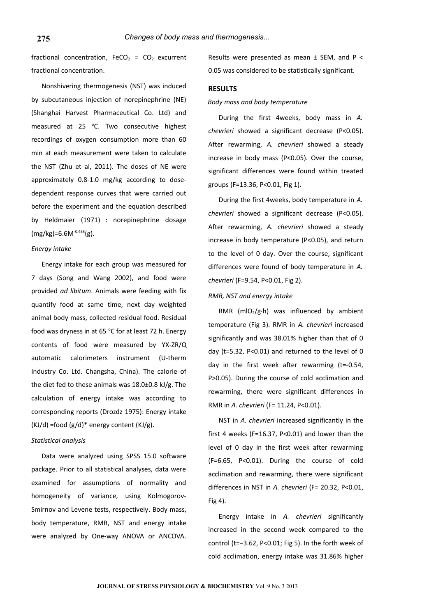fractional concentration, FeCO<sub>2</sub> = CO<sub>2</sub> excurrent fractional concentration.

Nonshivering thermogenesis (NST) was induced by subcutaneous injection of norepinephrine (NE) (Shanghai Harvest Pharmaceutical Co. Ltd) and measured at 25 °C. Two consecutive highest recordings of oxygen consumption more than 60 min at each measurement were taken to calculate the NST (Zhu et al, 2011). The doses of NE were approximately 0.8-1.0 mg/kg according to dosedependent response curves that were carried out before the experiment and the equation described by Heldmaier (1971) : norepinephrine dosage  $(mg/kg)=6.6M^{-0.458}(g).$ 

#### *Energy intake*

Energy intake for each group was measured for 7 days (Song and Wang 2002), and food were provided *ad libitum*. Animals were feeding with fix quantify food at same time, next day weighted animal body mass, collected residual food. Residual food was dryness in at 65 °C for at least 72 h. Energy contents of food were measured by YX-ZR/Q automatic calorimeters instrument (U-therm Industry Co. Ltd. Changsha, China). The calorie of the diet fed to these animals was 18.0±0.8 kJ/g. The calculation of energy intake was according to corresponding reports (Drozdz 1975): Energy intake  $(KJ/d)$  =food  $(g/d)^*$  energy content  $(KJ/g)$ .

#### *Statistical analysis*

Data were analyzed using SPSS 15.0 software package. Prior to all statistical analyses, data were examined for assumptions of normality and homogeneity of variance, using Kolmogorov-Smirnov and Levene tests, respectively. Body mass, body temperature, RMR, NST and energy intake were analyzed by One-way ANOVA or ANCOVA.

Results were presented as mean ± SEM, and P < 0.05 was considered to be statistically significant.

### **RESULTS**

#### *Body mass and body temperature*

During the first 4weeks, body mass in *A. chevrieri* showed a significant decrease (P<0.05). After rewarming, *A. chevrieri* showed a steady increase in body mass (P<0.05). Over the course, significant differences were found within treated groups (F=13.36, P<0.01, Fig 1).

During the first 4weeks, body temperature in *A. chevrieri* showed a significant decrease (P<0.05). After rewarming, *A. chevrieri* showed a steady increase in body temperature (P<0.05), and return to the level of 0 day. Over the course, significant differences were found of body temperature in *A. chevrieri* (F=9.54, P<0.01, Fig 2).

#### *RMR, NST and energy intake*

RMR  $(mIO<sub>2</sub>/g·h)$  was influenced by ambient temperature (Fig 3). RMR in *A. chevrieri* increased significantly and was 38.01% higher than that of 0 day (t=5.32, P<0.01) and returned to the level of 0 day in the first week after rewarming (t=-0.54, P>0.05). During the course of cold acclimation and rewarming, there were significant differences in RMR in *A. chevrieri* (F= 11.24, P<0.01).

NST in *A. chevrieri* increased significantly in the first 4 weeks (F=16.37, P<0.01) and lower than the level of 0 day in the first week after rewarming (F=6.65, P<0.01). During the course of cold acclimation and rewarming, there were significant differences in NST in *A. chevrieri* (F= 20.32, P<0.01, Fig 4).

Energy intake in *A. chevrieri* significantly increased in the second week compared to the control (t=−3.62, P<0.01; Fig 5). In the forth week of cold acclimation, energy intake was 31.86% higher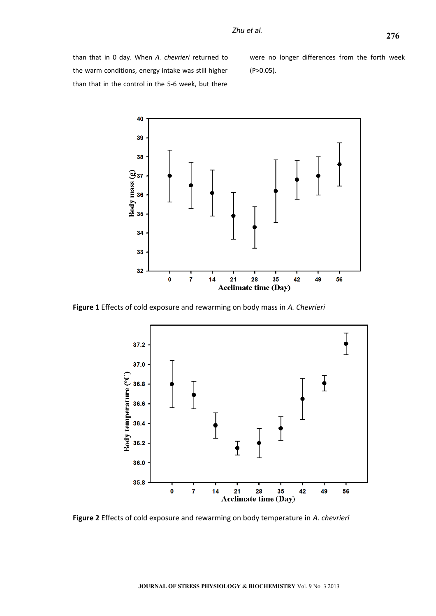than that in 0 day. When *A. chevrieri* returned to the warm conditions, energy intake was still higher than that in the control in the 5-6 week, but there were no longer differences from the forth week (P>0.05).



**Figure 1** Effects of cold exposure and rewarming on body mass in *A. Chevrieri*



**Figure 2** Effects of cold exposure and rewarming on body temperature in *A. chevrieri*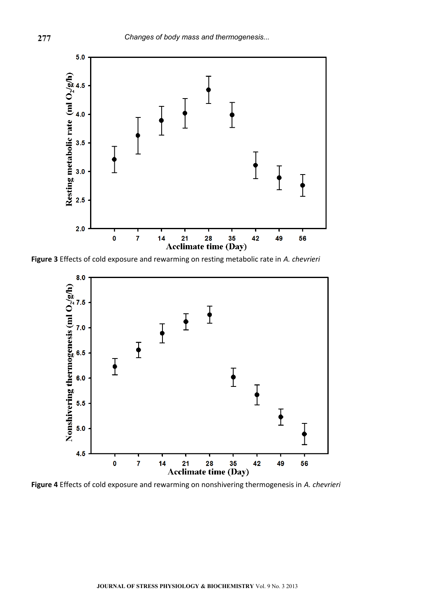

**Figure 3** Effects of cold exposure and rewarming on resting metabolic rate in *A. chevrieri*



**Figure 4** Effects of cold exposure and rewarming on nonshivering thermogenesis in *A. chevrieri*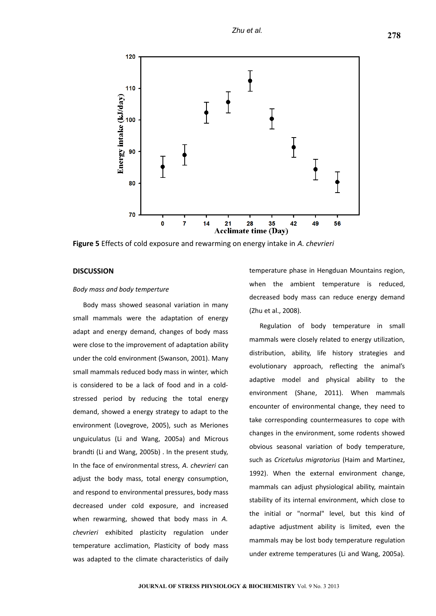

**Figure 5** Effects of cold exposure and rewarming on energy intake in *A. chevrieri*

## **DISCUSSION**

## *Body mass and body temperture*

Body mass showed seasonal variation in many small mammals were the adaptation of energy adapt and energy demand, changes of body mass were close to the improvement of adaptation ability under the cold environment (Swanson, 2001). Many small mammals reduced body mass in winter, which is considered to be a lack of food and in a coldstressed period by reducing the total energy demand, showed a energy strategy to adapt to the environment (Lovegrove, 2005), such as Meriones unguiculatus (Li and Wang, 2005a) and Microus brandti (Li and Wang, 2005b) . In the present study, In the face of environmental stress, *A. chevrieri* can adjust the body mass, total energy consumption, and respond to environmental pressures, body mass decreased under cold exposure, and increased when rewarming, showed that body mass in *A. chevrieri* exhibited plasticity regulation under temperature acclimation, Plasticity of body mass was adapted to the climate characteristics of daily

temperature phase in Hengduan Mountains region, when the ambient temperature is reduced, decreased body mass can reduce energy demand (Zhu et al., 2008).

Regulation of body temperature in small mammals were closely related to energy utilization, distribution, ability, life history strategies and evolutionary approach, reflecting the animal's adaptive model and physical ability to the environment (Shane, 2011). When mammals encounter of environmental change, they need to take corresponding countermeasures to cope with changes in the environment, some rodents showed obvious seasonal variation of body temperature, such as *Cricetulus migratorius* (Haim and Martinez, 1992). When the external environment change, mammals can adjust physiological ability, maintain stability of its internal environment, which close to the initial or "normal" level, but this kind of adaptive adjustment ability is limited, even the mammals may be lost body temperature regulation under extreme temperatures (Li and Wang, 2005a).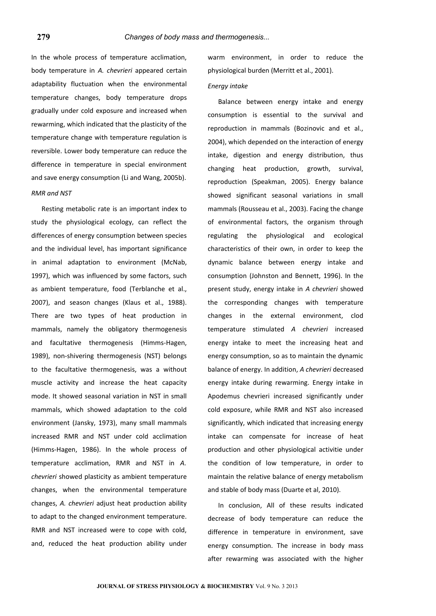In the whole process of temperature acclimation, body temperature in *A. chevrieri* appeared certain adaptability fluctuation when the environmental temperature changes, body temperature drops gradually under cold exposure and increased when rewarming, which indicated that the plasticity of the temperature change with temperature regulation is reversible. Lower body temperature can reduce the difference in temperature in special environment and save energy consumption (Li and Wang, 2005b).

#### *RMR and NST*

Resting metabolic rate is an important index to study the physiological ecology, can reflect the differences of energy consumption between species and the individual level, has important significance in animal adaptation to environment (McNab, 1997), which was influenced by some factors, such as ambient temperature, food (Terblanche et al., 2007), and season changes (Klaus et al., 1988). There are two types of heat production in mammals, namely the obligatory thermogenesis and facultative thermogenesis (Himms-Hagen, 1989), non-shivering thermogenesis (NST) belongs to the facultative thermogenesis, was a without muscle activity and increase the heat capacity mode. It showed seasonal variation in NST in small mammals, which showed adaptation to the cold environment (Jansky, 1973), many small mammals increased RMR and NST under cold acclimation (Himms-Hagen, 1986). In the whole process of temperature acclimation, RMR and NST in *A. chevrieri* showed plasticity as ambient temperature changes, when the environmental temperature changes, *A. chevrieri* adjust heat production ability to adapt to the changed environment temperature. RMR and NST increased were to cope with cold, and, reduced the heat production ability under

warm environment, in order to reduce the physiological burden (Merritt et al., 2001).

# *Energy intake*

Balance between energy intake and energy consumption is essential to the survival and reproduction in mammals (Bozinovic and et al., 2004), which depended on the interaction of energy intake, digestion and energy distribution, thus changing heat production, growth, survival, reproduction (Speakman, 2005). Energy balance showed significant seasonal variations in small mammals (Rousseau et al., 2003). Facing the change of environmental factors, the organism through regulating the physiological and ecological characteristics of their own, in order to keep the dynamic balance between energy intake and consumption (Johnston and Bennett, 1996). In the present study, energy intake in *A chevrieri* showed the corresponding changes with temperature changes in the external environment, clod temperature stimulated *A chevrieri* increased energy intake to meet the increasing heat and energy consumption, so as to maintain the dynamic balance of energy. In addition, *A chevrieri* decreased energy intake during rewarming. Energy intake in Apodemus chevrieri increased significantly under cold exposure, while RMR and NST also increased significantly, which indicated that increasing energy intake can compensate for increase of heat production and other physiological activitie under the condition of low temperature, in order to maintain the relative balance of energy metabolism and stable of body mass (Duarte et al, 2010).

In conclusion, All of these results indicated decrease of body temperature can reduce the difference in temperature in environment, save energy consumption. The increase in body mass after rewarming was associated with the higher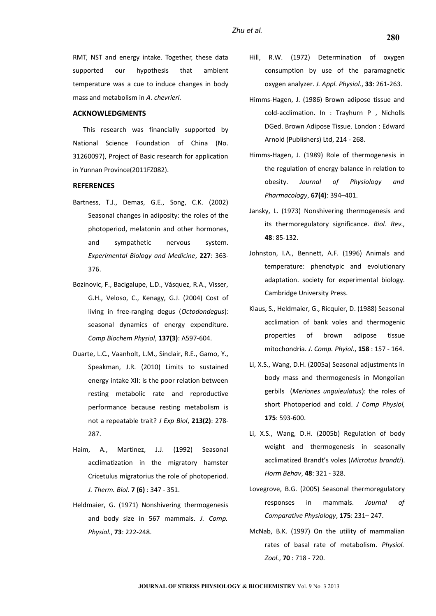RMT, NST and energy intake. Together, these data supported our hypothesis that ambient temperature was a cue to induce changes in body mass and metabolism in *A. chevrieri.*

#### **ACKNOWLEDGMENTS**

This research was financially supported by National Science Foundation of China (No. 31260097), Project of Basic research for application in Yunnan Province(2011FZ082).

#### **REFERENCES**

- Bartness, T.J., Demas, G.E., Song, C.K. (2002) Seasonal changes in adiposity: the roles of the photoperiod, melatonin and other hormones, and sympathetic nervous system. *Experimental Biology and Medicine*, **227**: 363- 376.
- Bozinovic, F., Bacigalupe, L.D., Vásquez, R.A., Visser, G.H., Veloso, C., Kenagy, G.J. (2004) Cost of living in free-ranging degus (*Octodondegus*): seasonal dynamics of energy expenditure. *Comp Biochem Physiol*, **137(3)**: A597-604.
- Duarte, L.C., Vaanholt, L.M., Sinclair, R.E., Gamo, Y., Speakman, J.R. (2010) Limits to sustained energy intake XII: is the poor relation between resting metabolic rate and reproductive performance because resting metabolism is not a repeatable trait? *J Exp Biol*, **213(2)**: 278- 287.
- Haim, A., Martinez, J.J. (1992) Seasonal acclimatization in the migratory hamster Cricetulus migratorius the role of photoperiod. *J. Therm. Biol*. **7 (6)** : 347 - 351.
- Heldmaier, G. (1971) Nonshivering thermogenesis and body size in 567 mammals. *J. Comp. Physiol.*, **73**: 222-248.
- Hill, R.W. (1972) Determination of oxygen consumption by use of the paramagnetic oxygen analyzer. *J. Appl. Physiol*., **33**: 261-263.
- Himms-Hagen, J. (1986) Brown adipose tissue and cold-acclimation. In : Trayhurn P , Nicholls DGed. Brown Adipose Tissue. London : Edward Arnold (Publishers) Ltd, 214 - 268.
- Himms-Hagen, J. (1989) Role of thermogenesis in the regulation of energy balance in relation to obesity. *Journal of Physiology and Pharmacology*, **67(4)**: 394–401.
- Jansky, L. (1973) Nonshivering thermogenesis and its thermoregulatory significance. *Biol. Rev.,* **48**: 85-132.
- Johnston, I.A., Bennett, A.F. (1996) Animals and temperature: phenotypic and evolutionary adaptation. society for experimental biology. Cambridge University Press.
- Klaus, S., Heldmaier, G., Ricquier, D. (1988) Seasonal acclimation of bank voles and thermogenic properties of brown adipose tissue mitochondria. *J. Comp. Phyiol*., **158** : 157 - 164.
- Li, X.S., Wang, D.H. (2005a) Seasonal adjustments in body mass and thermogenesis in Mongolian gerbils (*Meriones unguieulatus*): the roles of short Photoperiod and cold. *J Comp Physiol,* **175**: 593-600.
- Li, X.S., Wang, D.H. (2005b) Regulation of body weight and thermogenesis in seasonally acclimatized Brandt's voles (*Microtus brandti*). *Horm Behav*, **48**: 321 - 328.
- Lovegrove, B.G. (2005) Seasonal thermoregulatory responses in mammals. *Journal of Comparative Physiology*, **175**: 231– 247.
- McNab, B.K. (1997) On the utility of mammalian rates of basal rate of metabolism. *Physiol. Zool.*, **70** : 718 - 720.